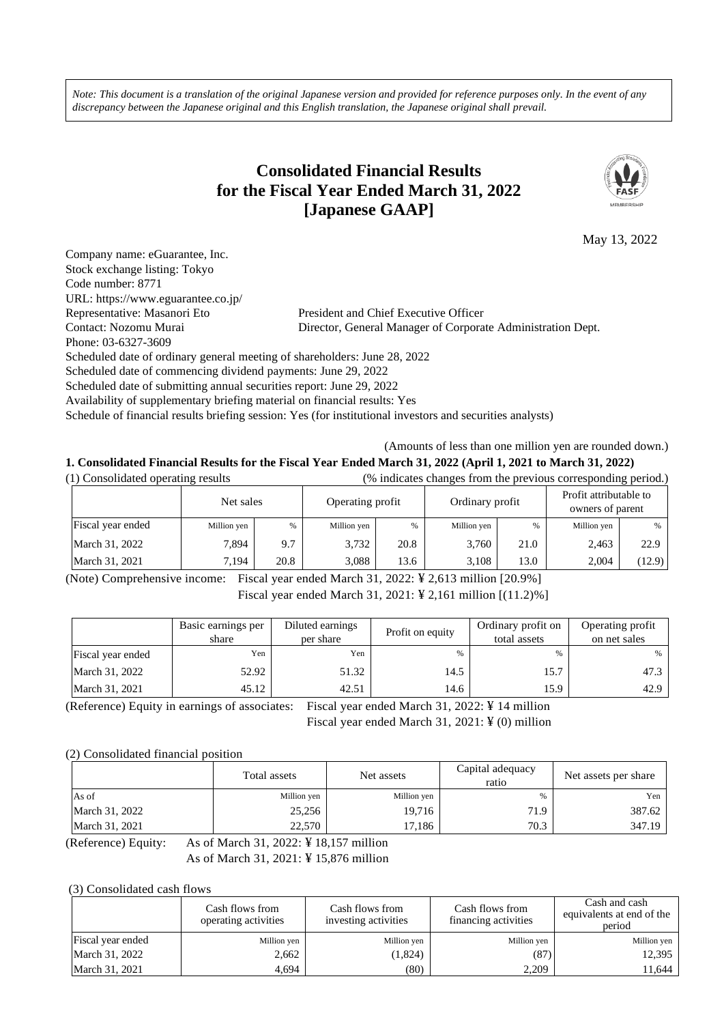*Note: This document is a translation of the original Japanese version and provided for reference purposes only. In the event of any discrepancy between the Japanese original and this English translation, the Japanese original shall prevail.*

# **Consolidated Financial Results for the Fiscal Year Ended March 31, 2022 [Japanese GAAP]**



May 13, 2022

| Company name: eGuarantee, Inc.                                            |                                                                                                           |
|---------------------------------------------------------------------------|-----------------------------------------------------------------------------------------------------------|
| Stock exchange listing: Tokyo                                             |                                                                                                           |
| Code number: 8771                                                         |                                                                                                           |
| URL: https://www.eguarantee.co.jp/                                        |                                                                                                           |
| Representative: Masanori Eto                                              | President and Chief Executive Officer                                                                     |
| Contact: Nozomu Murai                                                     | Director, General Manager of Corporate Administration Dept.                                               |
| Phone: 03-6327-3609                                                       |                                                                                                           |
| Scheduled date of ordinary general meeting of shareholders: June 28, 2022 |                                                                                                           |
| Scheduled date of commencing dividend payments: June 29, 2022             |                                                                                                           |
| Scheduled date of submitting annual securities report: June 29, 2022      |                                                                                                           |
| Availability of supplementary briefing material on financial results: Yes |                                                                                                           |
|                                                                           | Schedule of financial results briefing session: Yes (for institutional investors and securities analysts) |

(Amounts of less than one million yen are rounded down.)

# **1. Consolidated Financial Results for the Fiscal Year Ended March 31, 2022 (April 1, 2021 to March 31, 2022)**

(1) Consolidated operating results (% indicates changes from the previous corresponding period.)

|                   | Net sales   |      | Operating profit |      | Ordinary profit |      | Profit attributable to<br>owners of parent |        |
|-------------------|-------------|------|------------------|------|-----------------|------|--------------------------------------------|--------|
| Fiscal year ended | Million yen | %    | Million yen      | $\%$ | Million yen     | %    | Million yen                                | %      |
| March 31, 2022    | 7.894       | 9.7  | 3.732            | 20.8 | 3.760           | 21.0 | 2,463                                      | 22.9   |
| March 31, 2021    | 7.194       | 20.8 | 3.088            | 13.6 | 3,108           | 13.0 | 2.004                                      | (12.9) |

(Note) Comprehensive income: Fiscal year ended March 31, 2022: ¥ 2,613 million [20.9%] Fiscal year ended March 31, 2021: ¥ 2,161 million [(11.2)%]

|                   | Basic earnings per<br>share | Diluted earnings<br>per share | Profit on equity | Ordinary profit on<br>total assets | Operating profit<br>on net sales |
|-------------------|-----------------------------|-------------------------------|------------------|------------------------------------|----------------------------------|
| Fiscal year ended | Yen                         | Yen                           | $\%$             |                                    | %                                |
| March 31, 2022    | 52.92                       | 51.32                         | 14.5             | 15.7                               | 47.3                             |
| March 31, 2021    | 45.12                       | 42.51                         | 14.6             | 15.9                               | 42.9                             |

(Reference) Equity in earnings of associates: Fiscal year ended March 31, 2022: ¥ 14 million

Fiscal year ended March 31, 2021: ¥ (0) million

(2) Consolidated financial position

|                | Total assets | Net assets  | Capital adequacy<br>ratio | Net assets per share |
|----------------|--------------|-------------|---------------------------|----------------------|
| As of          | Million yen  | Million yen | %                         | Yen                  |
| March 31, 2022 | 25,256       | 19,716      | 71.9                      | 387.62               |
| March 31, 2021 | 22,570       | 17,186      | 70.3                      | 347.19               |

(Reference) Equity: As of March 31, 2022: ¥ 18,157 million

As of March 31, 2021: ¥ 15,876 million

(3) Consolidated cash flows

|                   | Cash flows from<br>operating activities |             | Cash flows from<br>financing activities | Cash and cash<br>equivalents at end of the<br>period |
|-------------------|-----------------------------------------|-------------|-----------------------------------------|------------------------------------------------------|
| Fiscal year ended | Million yen                             | Million yen | Million yen                             | Million yen                                          |
| March 31, 2022    | 2,662                                   | (1,824)     | (87)                                    | 12,395                                               |
| March 31, 2021    | 4.694                                   | (80)        | 2.209                                   | 11.644                                               |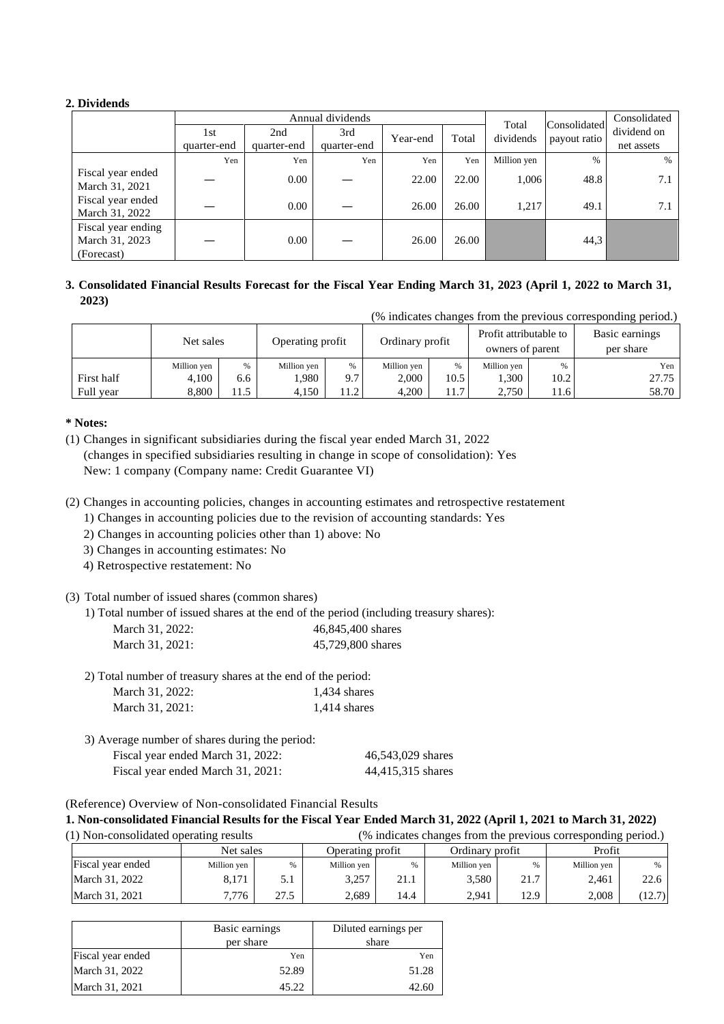## **2. Dividends**

|                                                    |             |             | Annual dividends | Total    | Consolidated | Consolidated |              |               |
|----------------------------------------------------|-------------|-------------|------------------|----------|--------------|--------------|--------------|---------------|
|                                                    | 1st         | 2nd         | 3rd              | Year-end | Total        | dividends    | payout ratio | dividend on   |
|                                                    | quarter-end | quarter-end | quarter-end      |          |              |              |              | net assets    |
|                                                    | Yen         | Yen         | Yen              | Yen      | Yen          | Million yen  | $\%$         | $\frac{0}{0}$ |
| Fiscal year ended<br>March 31, 2021                |             | 0.00        |                  | 22.00    | 22.00        | 1,006        | 48.8         | 7.1           |
| Fiscal year ended<br>March 31, 2022                |             | 0.00        |                  | 26.00    | 26.00        | 1,217        | 49.1         | 7.1           |
| Fiscal year ending<br>March 31, 2023<br>(Forecast) |             | 0.00        |                  | 26.00    | 26.00        |              | 44,3         |               |

## **3. Consolidated Financial Results Forecast for the Fiscal Year Ending March 31, 2023 (April 1, 2022 to March 31, 2023)**

|            |             |      |                  |      |                 |      |                                            |      | (% indicates changes from the previous corresponding period.) |
|------------|-------------|------|------------------|------|-----------------|------|--------------------------------------------|------|---------------------------------------------------------------|
|            | Net sales   |      | Operating profit |      | Ordinary profit |      | Profit attributable to<br>owners of parent |      | Basic earnings<br>per share                                   |
|            | Million yen | %    | Million yen      | %    | Million yen     | $\%$ | Million yen                                | %    | Yen                                                           |
| First half | 4,100       | 6.6  | 1.980            | 9.7  | 2.000           | 10.5 | .300                                       | 10.2 | 27.75                                                         |
| Full year  | 8,800       | 11.5 | 4,150            | 11.2 | 4,200           | 11.7 | 2,750                                      | 11.6 | 58.70                                                         |

#### **\* Notes:**

(1) Changes in significant subsidiaries during the fiscal year ended March 31, 2022 (changes in specified subsidiaries resulting in change in scope of consolidation): Yes New: 1 company (Company name: Credit Guarantee VI)

(2) Changes in accounting policies, changes in accounting estimates and retrospective restatement

1) Changes in accounting policies due to the revision of accounting standards: Yes

2) Changes in accounting policies other than 1) above: No

3) Changes in accounting estimates: No

4) Retrospective restatement: No

#### (3) Total number of issued shares (common shares)

1) Total number of issued shares at the end of the period (including treasury shares):

| March 31, 2022: | 46,845,400 shares |
|-----------------|-------------------|
| March 31, 2021: | 45,729,800 shares |

| 2) Total number of treasury shares at the end of the period: |  |  |
|--------------------------------------------------------------|--|--|
|--------------------------------------------------------------|--|--|

| March 31, 2022: | 1,434 shares   |
|-----------------|----------------|
| March 31, 2021: | $1,414$ shares |

3) Average number of shares during the period: Fiscal year ended March 31, 2022: 46,543,029 shares Fiscal year ended March 31, 2021: 44,415,315 shares

(Reference) Overview of Non-consolidated Financial Results

**1. Non-consolidated Financial Results for the Fiscal Year Ended March 31, 2022 (April 1, 2021 to March 31, 2022)**

(1) Non-consolidated operating results (% indicates changes from the previous corresponding period.) Net sales Deperating profit | Ordinary profit | Profit Fiscal year ended Million yen | % | Million yen | % | Million yen | % | Million yen | % | Million yen | % March 31, 2022 | 8,171 | 5.1 | 3,257 | 21.1 | 3,580 | 21.7 | 2,461 | 22.6 March 31, 2021 | 7,776 | 27.5 | 2,689 | 14.4 | 2,941 | 12.9 | 2,008 | (12.7)

|                   | Basic earnings<br>per share | Diluted earnings per<br>share |  |
|-------------------|-----------------------------|-------------------------------|--|
| Fiscal year ended | Yen                         | Yen                           |  |
| March 31, 2022    | 52.89                       | 51.28                         |  |
| March 31, 2021    | 45.22                       | 42.60                         |  |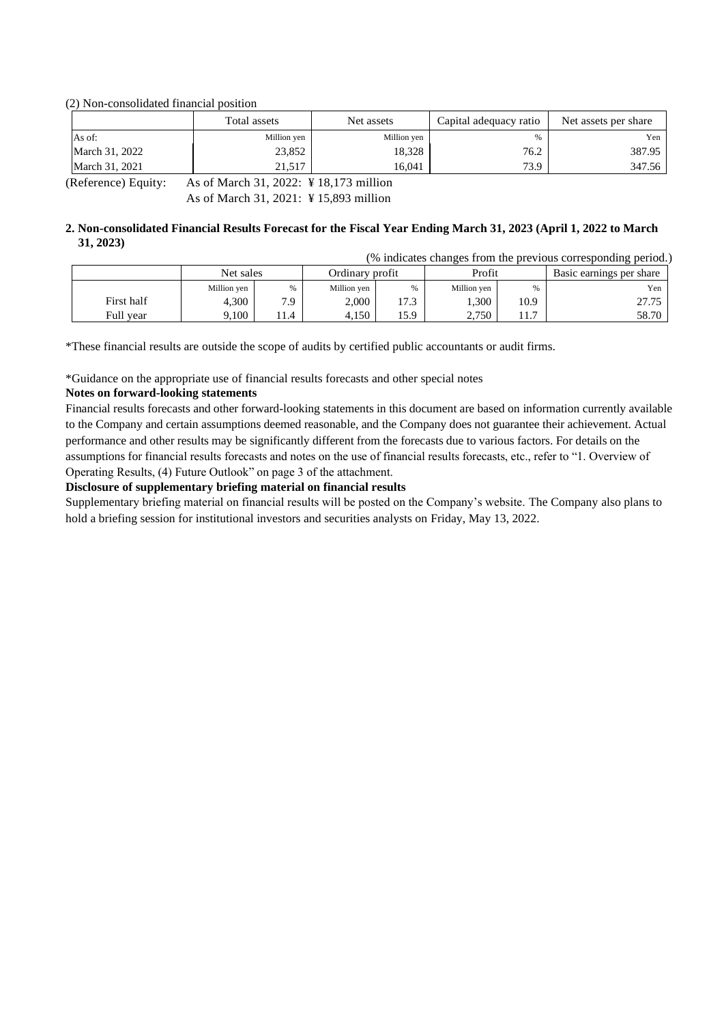#### (2) Non-consolidated financial position

|                | Total assets | Net assets  | Capital adequacy ratio | Net assets per share |
|----------------|--------------|-------------|------------------------|----------------------|
| As of:         | Million yen  | Million yen | 0/2                    | Yen                  |
| March 31, 2022 | 23,852       | 18,328      | 76.2                   | 387.95               |
| March 31, 2021 | 21,517       | 16.041      | 73.9                   | 347.56               |

(Reference) Equity: As of March 31, 2022: ¥ 18,173 million

As of March 31, 2021: ¥ 15,893 million

#### **2. Non-consolidated Financial Results Forecast for the Fiscal Year Ending March 31, 2023 (April 1, 2022 to March 31, 2023)**

| (% indicates changes from the previous corresponding period.) |             |      |             |                           |             |      |                          |
|---------------------------------------------------------------|-------------|------|-------------|---------------------------|-------------|------|--------------------------|
|                                                               | Net sales   |      |             | Profit<br>Ordinary profit |             |      | Basic earnings per share |
|                                                               | Million yen | %    | Million yen |                           | Million yen | $\%$ | Yen                      |
| First half                                                    | 4.300       | 7.9  | 2.000       | 17.3                      | 1.300       | 10.9 | 27.75                    |
| Full vear                                                     | 9.100       | 11.4 | 4.150       | 15.9                      | 2,750       |      | 58.70                    |

\*These financial results are outside the scope of audits by certified public accountants or audit firms.

\*Guidance on the appropriate use of financial results forecasts and other special notes

#### **Notes on forward-looking statements**

Financial results forecasts and other forward-looking statements in this document are based on information currently available to the Company and certain assumptions deemed reasonable, and the Company does not guarantee their achievement. Actual performance and other results may be significantly different from the forecasts due to various factors. For details on the assumptions for financial results forecasts and notes on the use of financial results forecasts, etc., refer to "1. Overview of Operating Results, (4) Future Outlook" on page 3 of the attachment.

#### **Disclosure of supplementary briefing material on financial results**

Supplementary briefing material on financial results will be posted on the Company's website. The Company also plans to hold a briefing session for institutional investors and securities analysts on Friday, May 13, 2022.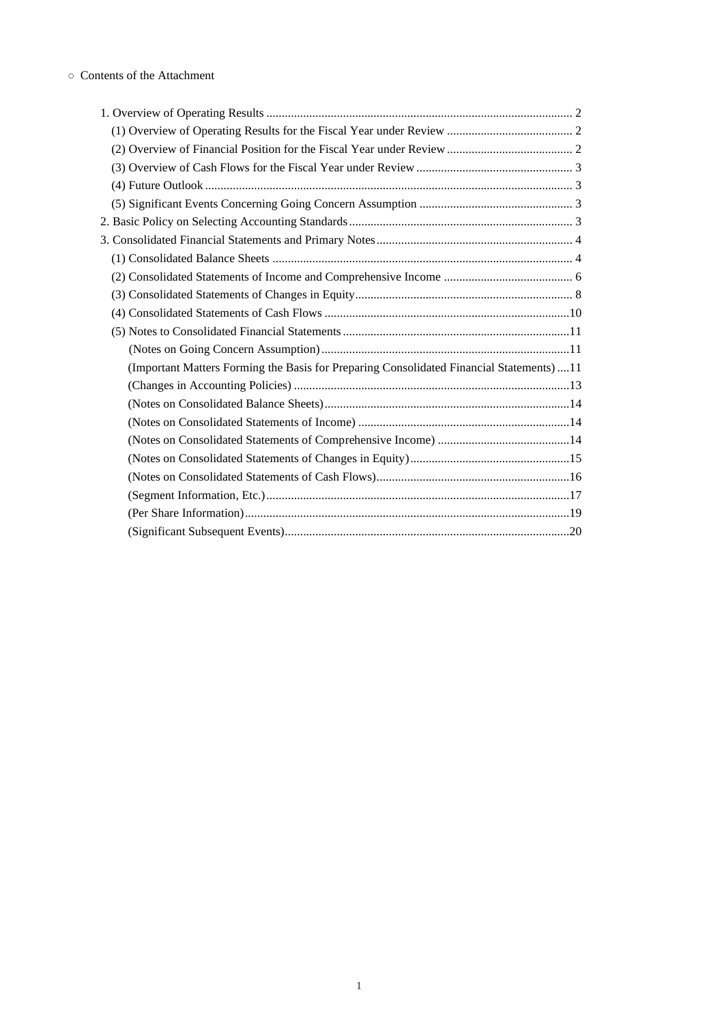| (Important Matters Forming the Basis for Preparing Consolidated Financial Statements)11 |
|-----------------------------------------------------------------------------------------|
|                                                                                         |
|                                                                                         |
|                                                                                         |
|                                                                                         |
|                                                                                         |
|                                                                                         |
|                                                                                         |
|                                                                                         |
|                                                                                         |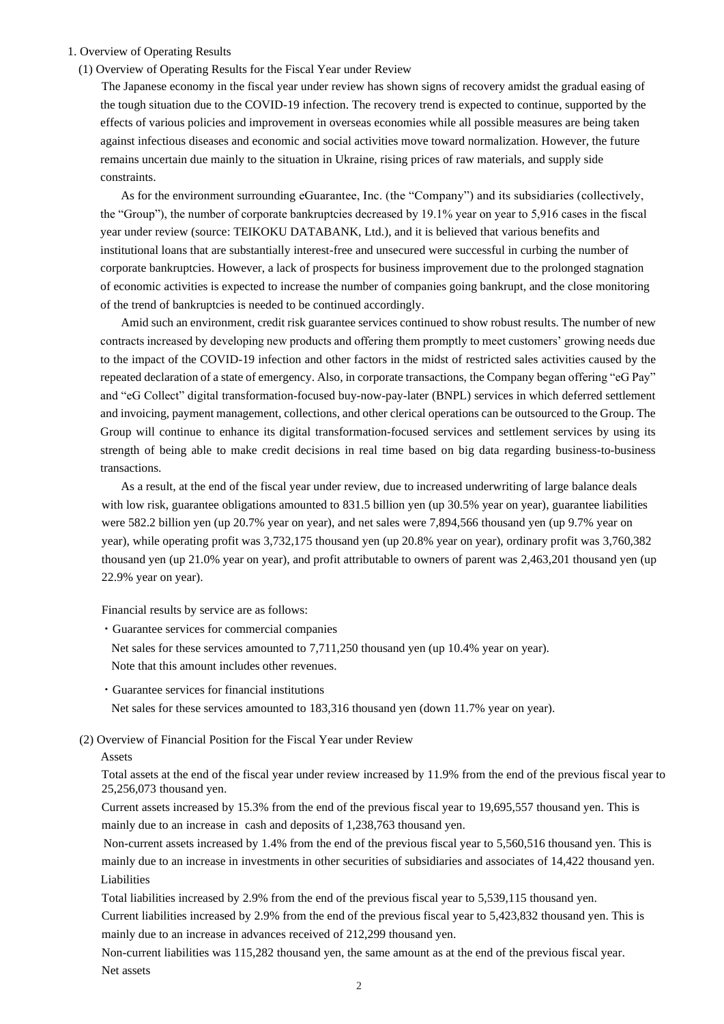#### 1. Overview of Operating Results

(1) Overview of Operating Results for the Fiscal Year under Review

The Japanese economy in the fiscal year under review has shown signs of recovery amidst the gradual easing of the tough situation due to the COVID-19 infection. The recovery trend is expected to continue, supported by the effects of various policies and improvement in overseas economies while all possible measures are being taken against infectious diseases and economic and social activities move toward normalization. However, the future remains uncertain due mainly to the situation in Ukraine, rising prices of raw materials, and supply side constraints.

As for the environment surrounding eGuarantee, Inc. (the "Company") and its subsidiaries (collectively, the "Group"), the number of corporate bankruptcies decreased by 19.1% year on year to 5,916 cases in the fiscal year under review (source: TEIKOKU DATABANK, Ltd.), and it is believed that various benefits and institutional loans that are substantially interest-free and unsecured were successful in curbing the number of corporate bankruptcies. However, a lack of prospects for business improvement due to the prolonged stagnation of economic activities is expected to increase the number of companies going bankrupt, and the close monitoring of the trend of bankruptcies is needed to be continued accordingly.

Amid such an environment, credit risk guarantee services continued to show robust results. The number of new contracts increased by developing new products and offering them promptly to meet customers' growing needs due to the impact of the COVID-19 infection and other factors in the midst of restricted sales activities caused by the repeated declaration of a state of emergency. Also, in corporate transactions, the Company began offering "eG Pay" and "eG Collect" digital transformation-focused buy-now-pay-later (BNPL) services in which deferred settlement and invoicing, payment management, collections, and other clerical operations can be outsourced to the Group. The Group will continue to enhance its digital transformation-focused services and settlement services by using its strength of being able to make credit decisions in real time based on big data regarding business-to-business transactions.

As a result, at the end of the fiscal year under review, due to increased underwriting of large balance deals with low risk, guarantee obligations amounted to 831.5 billion yen (up 30.5% year on year), guarantee liabilities were 582.2 billion yen (up 20.7% year on year), and net sales were 7,894,566 thousand yen (up 9.7% year on year), while operating profit was 3,732,175 thousand yen (up 20.8% year on year), ordinary profit was 3,760,382 thousand yen (up 21.0% year on year), and profit attributable to owners of parent was 2,463,201 thousand yen (up 22.9% year on year).

Financial results by service are as follows:

- ・Guarantee services for commercial companies
	- Net sales for these services amounted to 7,711,250 thousand yen (up 10.4% year on year).
- Note that this amount includes other revenues.
- ・Guarantee services for financial institutions
- Net sales for these services amounted to 183,316 thousand yen (down 11.7% year on year).

(2) Overview of Financial Position for the Fiscal Year under Review

#### Assets

Total assets at the end of the fiscal year under review increased by 11.9% from the end of the previous fiscal year to 25,256,073 thousand yen.

Current assets increased by 15.3% from the end of the previous fiscal year to 19,695,557 thousand yen. This is mainly due to an increase in cash and deposits of 1,238,763 thousand yen.

Non-current assets increased by 1.4% from the end of the previous fiscal year to 5,560,516 thousand yen. This is mainly due to an increase in investments in other securities of subsidiaries and associates of 14,422 thousand yen. Liabilities

Total liabilities increased by 2.9% from the end of the previous fiscal year to 5,539,115 thousand yen.

Current liabilities increased by 2.9% from the end of the previous fiscal year to 5,423,832 thousand yen. This is mainly due to an increase in advances received of 212,299 thousand yen.

Non-current liabilities was 115,282 thousand yen, the same amount as at the end of the previous fiscal year. Net assets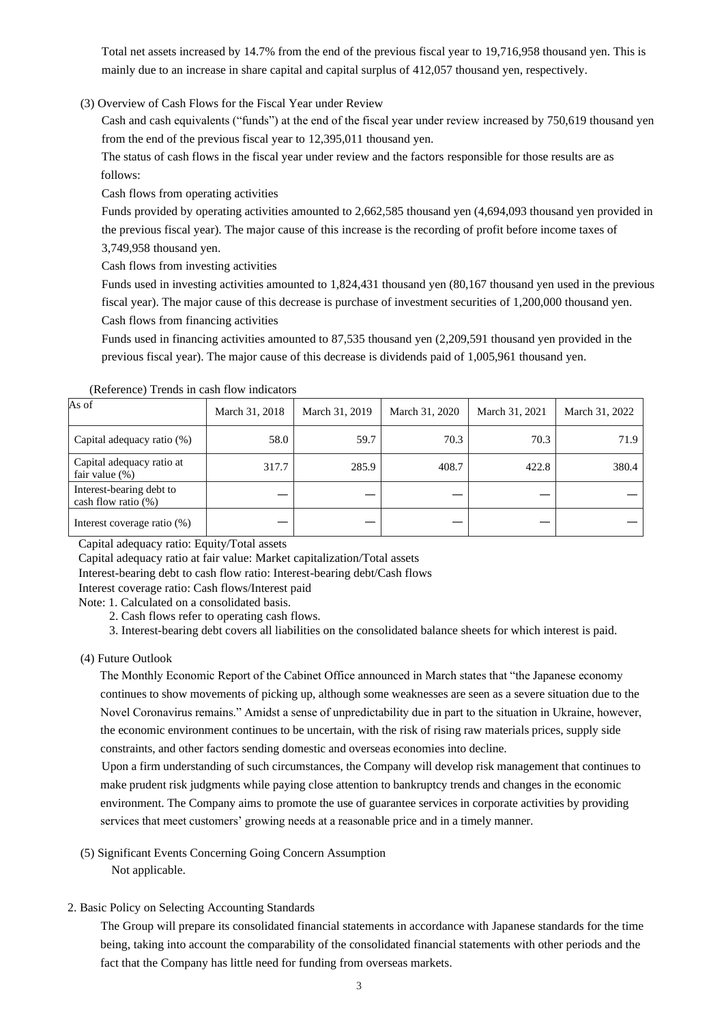Total net assets increased by 14.7% from the end of the previous fiscal year to 19,716,958 thousand yen. This is mainly due to an increase in share capital and capital surplus of 412,057 thousand yen, respectively.

#### (3) Overview of Cash Flows for the Fiscal Year under Review

Cash and cash equivalents ("funds") at the end of the fiscal year under review increased by 750,619 thousand yen from the end of the previous fiscal year to 12,395,011 thousand yen.

The status of cash flows in the fiscal year under review and the factors responsible for those results are as follows:

Cash flows from operating activities

Funds provided by operating activities amounted to 2,662,585 thousand yen (4,694,093 thousand yen provided in the previous fiscal year). The major cause of this increase is the recording of profit before income taxes of 3,749,958 thousand yen.

Cash flows from investing activities

Funds used in investing activities amounted to 1,824,431 thousand yen (80,167 thousand yen used in the previous fiscal year). The major cause of this decrease is purchase of investment securities of 1,200,000 thousand yen. Cash flows from financing activities

Funds used in financing activities amounted to 87,535 thousand yen (2,209,591 thousand yen provided in the previous fiscal year). The major cause of this decrease is dividends paid of 1,005,961 thousand yen.

| As of                                              | March 31, 2018 | March 31, 2019 | March 31, 2020 | March 31, 2021 | March 31, 2022 |
|----------------------------------------------------|----------------|----------------|----------------|----------------|----------------|
| Capital adequacy ratio (%)                         | 58.0           | 59.7           | 70.3           | 70.3           | 71.9           |
| Capital adequacy ratio at<br>fair value $(\%)$     | 317.7          | 285.9          | 408.7          | 422.8          | 380.4          |
| Interest-bearing debt to<br>cash flow ratio $(\%)$ |                |                |                |                |                |
| Interest coverage ratio (%)                        |                |                |                |                |                |

(Reference) Trends in cash flow indicators

Capital adequacy ratio: Equity/Total assets

Capital adequacy ratio at fair value: Market capitalization/Total assets

Interest-bearing debt to cash flow ratio: Interest-bearing debt/Cash flows

Interest coverage ratio: Cash flows/Interest paid

Note: 1. Calculated on a consolidated basis.

2. Cash flows refer to operating cash flows.

3. Interest-bearing debt covers all liabilities on the consolidated balance sheets for which interest is paid.

(4) Future Outlook

The Monthly Economic Report of the Cabinet Office announced in March states that "the Japanese economy continues to show movements of picking up, although some weaknesses are seen as a severe situation due to the Novel Coronavirus remains." Amidst a sense of unpredictability due in part to the situation in Ukraine, however, the economic environment continues to be uncertain, with the risk of rising raw materials prices, supply side constraints, and other factors sending domestic and overseas economies into decline.

Upon a firm understanding of such circumstances, the Company will develop risk management that continues to make prudent risk judgments while paying close attention to bankruptcy trends and changes in the economic environment. The Company aims to promote the use of guarantee services in corporate activities by providing services that meet customers' growing needs at a reasonable price and in a timely manner.

(5) Significant Events Concerning Going Concern Assumption

Not applicable.

2. Basic Policy on Selecting Accounting Standards

The Group will prepare its consolidated financial statements in accordance with Japanese standards for the time being, taking into account the comparability of the consolidated financial statements with other periods and the fact that the Company has little need for funding from overseas markets.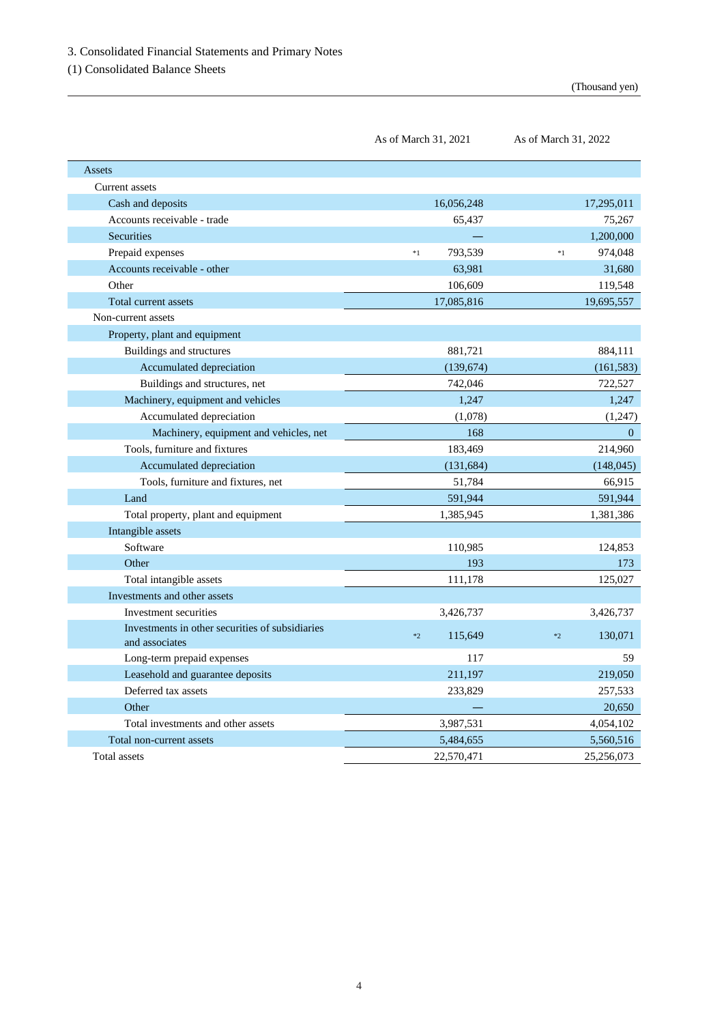(1) Consolidated Balance Sheets

As of March 31, 2022

| Assets                                                            |                 |                 |
|-------------------------------------------------------------------|-----------------|-----------------|
| Current assets                                                    |                 |                 |
| Cash and deposits                                                 | 16,056,248      | 17,295,011      |
| Accounts receivable - trade                                       | 65,437          | 75,267          |
| <b>Securities</b>                                                 |                 | 1,200,000       |
| Prepaid expenses                                                  | 793,539<br>$*1$ | 974,048<br>$*1$ |
| Accounts receivable - other                                       | 63,981          | 31,680          |
| Other                                                             | 106,609         | 119,548         |
| Total current assets                                              | 17,085,816      | 19,695,557      |
| Non-current assets                                                |                 |                 |
| Property, plant and equipment                                     |                 |                 |
| Buildings and structures                                          | 881,721         | 884,111         |
| Accumulated depreciation                                          | (139, 674)      | (161, 583)      |
| Buildings and structures, net                                     | 742,046         | 722,527         |
| Machinery, equipment and vehicles                                 | 1,247           | 1,247           |
| Accumulated depreciation                                          | (1,078)         | (1,247)         |
| Machinery, equipment and vehicles, net                            | 168             | $\overline{0}$  |
| Tools, furniture and fixtures                                     | 183,469         | 214,960         |
| Accumulated depreciation                                          | (131, 684)      | (148, 045)      |
| Tools, furniture and fixtures, net                                | 51,784          | 66,915          |
| Land                                                              | 591,944         | 591,944         |
| Total property, plant and equipment                               | 1,385,945       | 1,381,386       |
| Intangible assets                                                 |                 |                 |
| Software                                                          | 110,985         | 124,853         |
| Other                                                             | 193             | 173             |
| Total intangible assets                                           | 111,178         | 125,027         |
| Investments and other assets                                      |                 |                 |
| Investment securities                                             | 3,426,737       | 3,426,737       |
| Investments in other securities of subsidiaries<br>and associates | 115,649<br>$*2$ | 130,071<br>$*2$ |
| Long-term prepaid expenses                                        | 117             | 59              |
| Leasehold and guarantee deposits                                  | 211,197         | 219,050         |
| Deferred tax assets                                               | 233,829         | 257,533         |
| Other                                                             |                 | 20,650          |
| Total investments and other assets                                | 3,987,531       | 4,054,102       |
| Total non-current assets                                          | 5,484,655       | 5,560,516       |
| Total assets                                                      | 22,570,471      | 25,256,073      |

As of March 31, 2021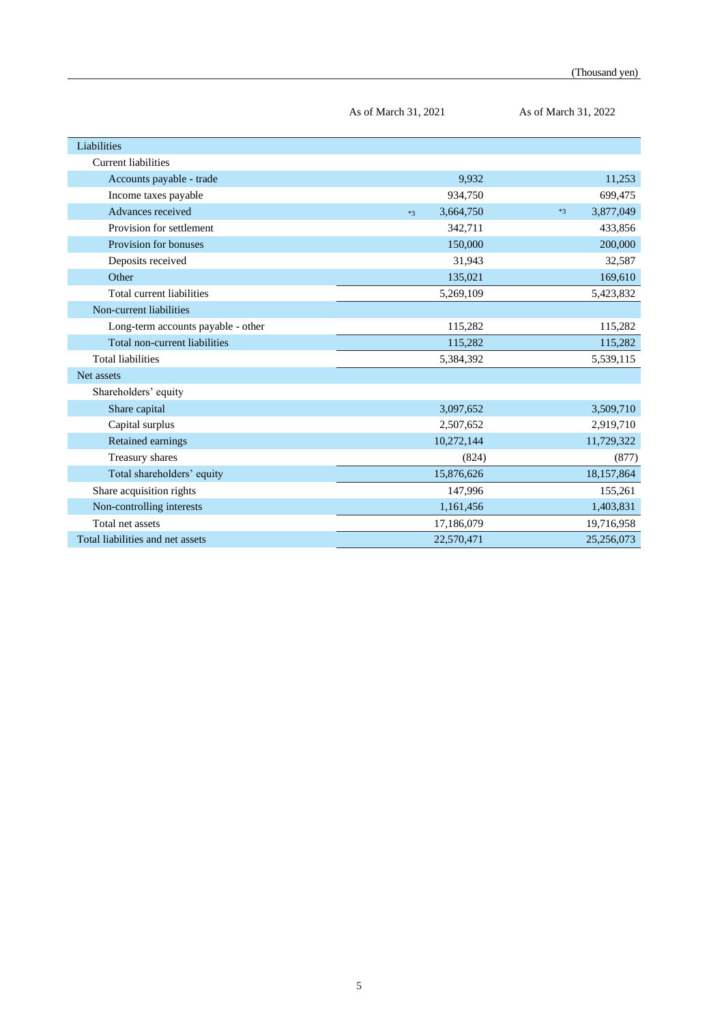|                                    | As of March 31, 2021 | As of March 31, 2022 |
|------------------------------------|----------------------|----------------------|
| Liabilities                        |                      |                      |
| <b>Current liabilities</b>         |                      |                      |
| Accounts payable - trade           | 9,932                | 11,253               |
| Income taxes payable               | 934,750              | 699,475              |
| Advances received                  | 3,664,750<br>$*3$    | 3,877,049<br>$*3$    |
| Provision for settlement           | 342,711              | 433,856              |
| Provision for bonuses              | 150,000              | 200,000              |
| Deposits received                  | 31,943               | 32,587               |
| Other                              | 135,021              | 169,610              |
| Total current liabilities          | 5,269,109            | 5,423,832            |
| Non-current liabilities            |                      |                      |
| Long-term accounts payable - other | 115,282              | 115,282              |
| Total non-current liabilities      | 115,282              | 115,282              |
| <b>Total liabilities</b>           | 5,384,392            | 5,539,115            |
| Net assets                         |                      |                      |
| Shareholders' equity               |                      |                      |
| Share capital                      | 3,097,652            | 3,509,710            |
| Capital surplus                    | 2,507,652            | 2,919,710            |
| Retained earnings                  | 10,272,144           | 11,729,322           |
| Treasury shares                    | (824)                | (877)                |
| Total shareholders' equity         | 15,876,626           | 18,157,864           |
| Share acquisition rights           | 147,996              | 155,261              |
| Non-controlling interests          | 1,161,456            | 1,403,831            |
| Total net assets                   | 17,186,079           | 19,716,958           |
| Total liabilities and net assets   | 22,570,471           | 25,256,073           |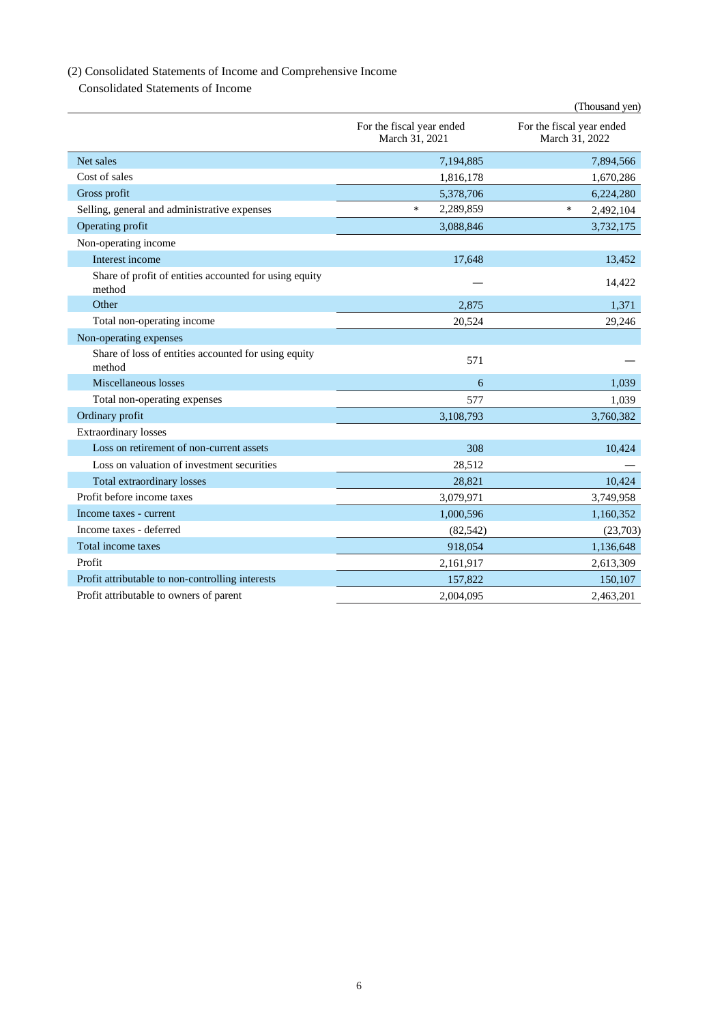# (2) Consolidated Statements of Income and Comprehensive Income

Consolidated Statements of Income

|                                                                  |                                             | (Thousand yen)                              |
|------------------------------------------------------------------|---------------------------------------------|---------------------------------------------|
|                                                                  | For the fiscal year ended<br>March 31, 2021 | For the fiscal year ended<br>March 31, 2022 |
| Net sales                                                        | 7,194,885                                   | 7,894,566                                   |
| Cost of sales                                                    | 1,816,178                                   | 1,670,286                                   |
| Gross profit                                                     | 5,378,706                                   | 6,224,280                                   |
| Selling, general and administrative expenses                     | 2,289,859<br>$\ast$                         | $\ast$<br>2,492,104                         |
| Operating profit                                                 | 3,088,846                                   | 3,732,175                                   |
| Non-operating income                                             |                                             |                                             |
| Interest income                                                  | 17,648                                      | 13,452                                      |
| Share of profit of entities accounted for using equity<br>method |                                             | 14,422                                      |
| Other                                                            | 2,875                                       | 1,371                                       |
| Total non-operating income                                       | 20,524                                      | 29,246                                      |
| Non-operating expenses                                           |                                             |                                             |
| Share of loss of entities accounted for using equity<br>method   | 571                                         |                                             |
| Miscellaneous losses                                             | 6                                           | 1,039                                       |
| Total non-operating expenses                                     | 577                                         | 1.039                                       |
| Ordinary profit                                                  | 3,108,793                                   | 3,760,382                                   |
| <b>Extraordinary losses</b>                                      |                                             |                                             |
| Loss on retirement of non-current assets                         | 308                                         | 10,424                                      |
| Loss on valuation of investment securities                       | 28,512                                      |                                             |
| Total extraordinary losses                                       | 28,821                                      | 10.424                                      |
| Profit before income taxes                                       | 3,079,971                                   | 3,749,958                                   |
| Income taxes - current                                           | 1,000,596                                   | 1,160,352                                   |
| Income taxes - deferred                                          | (82, 542)                                   | (23,703)                                    |
| Total income taxes                                               | 918,054                                     | 1,136,648                                   |
| Profit                                                           | 2,161,917                                   | 2,613,309                                   |
| Profit attributable to non-controlling interests                 | 157,822                                     | 150,107                                     |
| Profit attributable to owners of parent                          | 2,004,095                                   | 2,463,201                                   |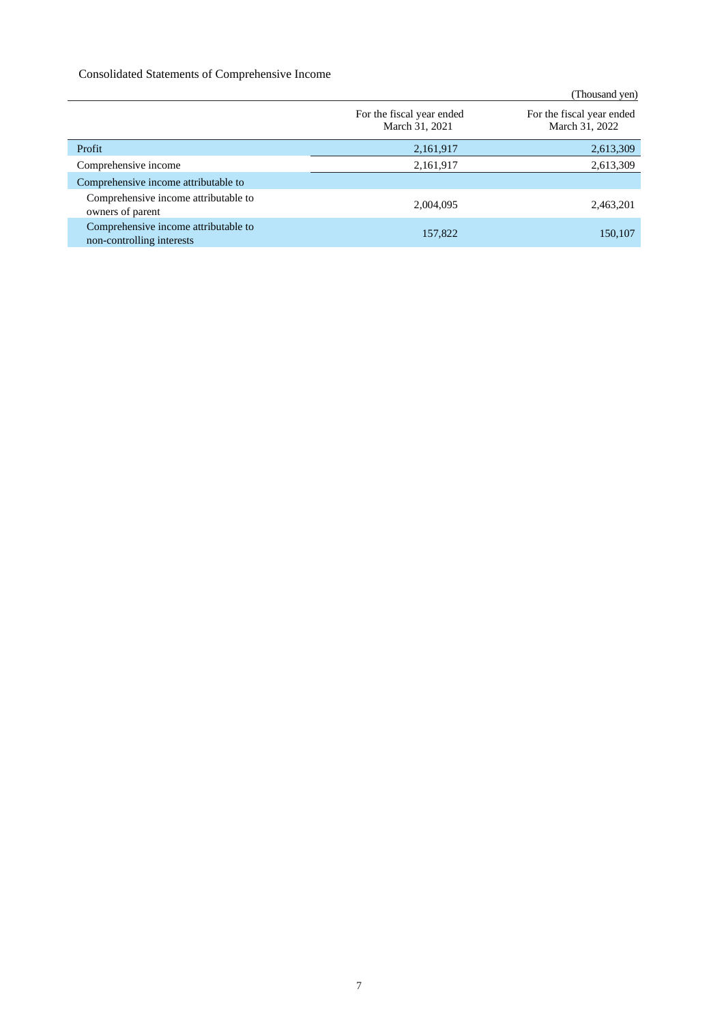## Consolidated Statements of Comprehensive Income

|                                                                   |                                             | (Thousand yen)                              |
|-------------------------------------------------------------------|---------------------------------------------|---------------------------------------------|
|                                                                   | For the fiscal year ended<br>March 31, 2021 | For the fiscal year ended<br>March 31, 2022 |
| Profit                                                            | 2,161,917                                   | 2,613,309                                   |
| Comprehensive income                                              | 2,161,917                                   | 2,613,309                                   |
| Comprehensive income attributable to                              |                                             |                                             |
| Comprehensive income attributable to<br>owners of parent          | 2,004,095                                   | 2,463,201                                   |
| Comprehensive income attributable to<br>non-controlling interests | 157,822                                     | 150,107                                     |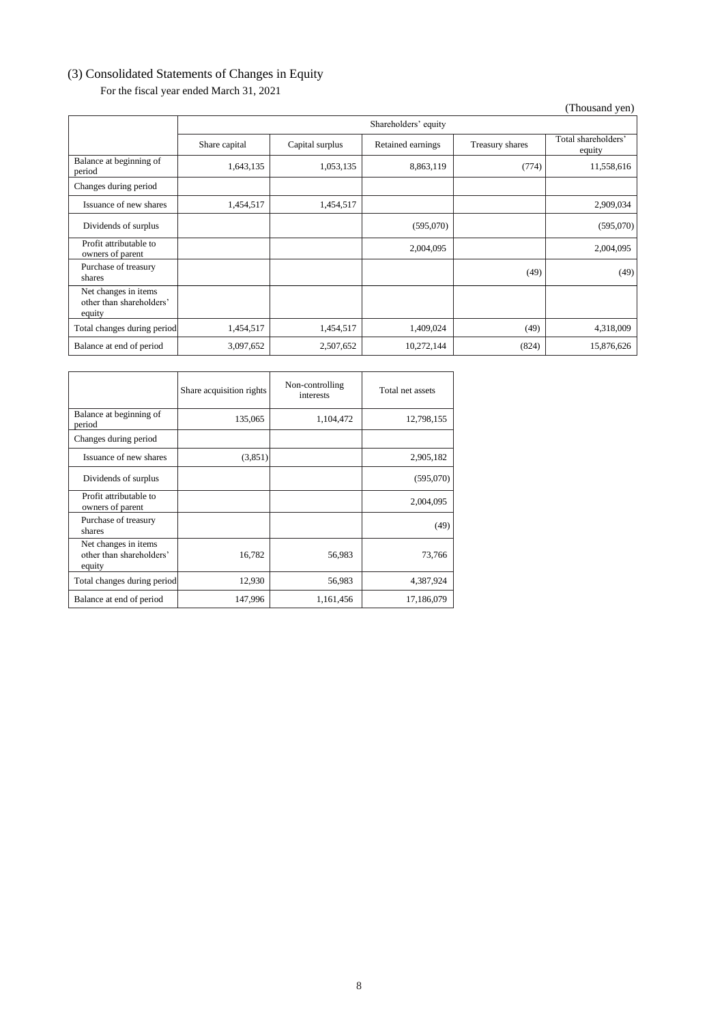## (3) Consolidated Statements of Changes in Equity

For the fiscal year ended March 31, 2021

(Thousand yen)

|                                                            | Shareholders' equity |                 |                   |                 |                               |
|------------------------------------------------------------|----------------------|-----------------|-------------------|-----------------|-------------------------------|
|                                                            | Share capital        | Capital surplus | Retained earnings | Treasury shares | Total shareholders'<br>equity |
| Balance at beginning of<br>period                          | 1,643,135            | 1,053,135       | 8,863,119         | (774)           | 11,558,616                    |
| Changes during period                                      |                      |                 |                   |                 |                               |
| Issuance of new shares                                     | 1,454,517            | 1,454,517       |                   |                 | 2,909,034                     |
| Dividends of surplus                                       |                      |                 | (595,070)         |                 | (595,070)                     |
| Profit attributable to<br>owners of parent                 |                      |                 | 2,004,095         |                 | 2,004,095                     |
| Purchase of treasury<br>shares                             |                      |                 |                   | (49)            | (49)                          |
| Net changes in items<br>other than shareholders'<br>equity |                      |                 |                   |                 |                               |
| Total changes during period                                | 1,454,517            | 1,454,517       | 1,409,024         | (49)            | 4,318,009                     |
| Balance at end of period                                   | 3,097,652            | 2,507,652       | 10,272,144        | (824)           | 15,876,626                    |

|                                                            | Share acquisition rights | Non-controlling<br>interests | Total net assets |
|------------------------------------------------------------|--------------------------|------------------------------|------------------|
| Balance at beginning of<br>period                          | 135,065                  | 1,104,472                    | 12,798,155       |
| Changes during period                                      |                          |                              |                  |
| Issuance of new shares                                     | (3,851)                  |                              | 2,905,182        |
| Dividends of surplus                                       |                          |                              | (595,070)        |
| Profit attributable to<br>owners of parent                 |                          |                              | 2,004,095        |
| Purchase of treasury<br>shares                             |                          |                              | (49)             |
| Net changes in items<br>other than shareholders'<br>equity | 16,782                   | 56,983                       | 73,766           |
| Total changes during period                                | 12,930                   | 56,983                       | 4,387,924        |
| Balance at end of period                                   | 147,996                  | 1,161,456                    | 17,186,079       |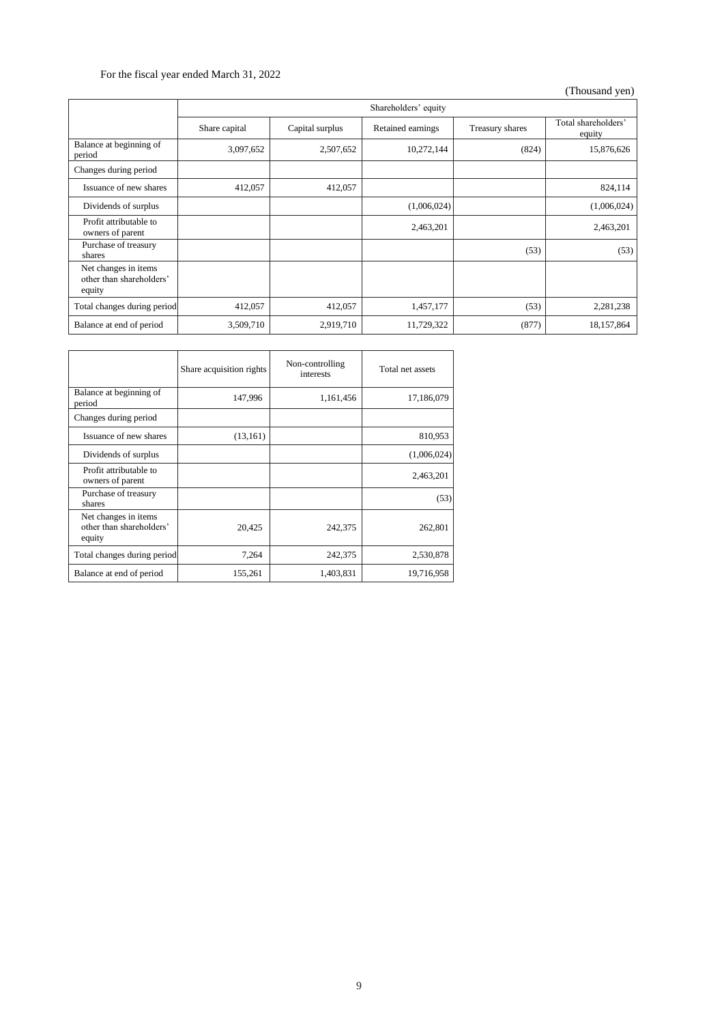## For the fiscal year ended March 31, 2022

(Thousand yen)

|                                                            | Shareholders' equity |                 |                   |                 |                               |
|------------------------------------------------------------|----------------------|-----------------|-------------------|-----------------|-------------------------------|
|                                                            | Share capital        | Capital surplus | Retained earnings | Treasury shares | Total shareholders'<br>equity |
| Balance at beginning of<br>period                          | 3,097,652            | 2,507,652       | 10,272,144        | (824)           | 15,876,626                    |
| Changes during period                                      |                      |                 |                   |                 |                               |
| Issuance of new shares                                     | 412,057              | 412,057         |                   |                 | 824,114                       |
| Dividends of surplus                                       |                      |                 | (1,006,024)       |                 | (1,006,024)                   |
| Profit attributable to<br>owners of parent                 |                      |                 | 2,463,201         |                 | 2,463,201                     |
| Purchase of treasury<br>shares                             |                      |                 |                   | (53)            | (53)                          |
| Net changes in items<br>other than shareholders'<br>equity |                      |                 |                   |                 |                               |
| Total changes during period                                | 412,057              | 412,057         | 1,457,177         | (53)            | 2,281,238                     |
| Balance at end of period                                   | 3,509,710            | 2,919,710       | 11,729,322        | (877)           | 18,157,864                    |

|                                                            | Share acquisition rights | Non-controlling<br>interests | Total net assets |
|------------------------------------------------------------|--------------------------|------------------------------|------------------|
| Balance at beginning of<br>period                          | 147,996                  | 1,161,456                    | 17,186,079       |
| Changes during period                                      |                          |                              |                  |
| Issuance of new shares                                     | (13, 161)                |                              | 810,953          |
| Dividends of surplus                                       |                          |                              | (1,006,024)      |
| Profit attributable to<br>owners of parent                 |                          |                              | 2,463,201        |
| Purchase of treasury<br>shares                             |                          |                              | (53)             |
| Net changes in items<br>other than shareholders'<br>equity | 20,425                   | 242,375                      | 262,801          |
| Total changes during period                                | 7,264                    | 242,375                      | 2,530,878        |
| Balance at end of period                                   | 155,261                  | 1,403,831                    | 19,716,958       |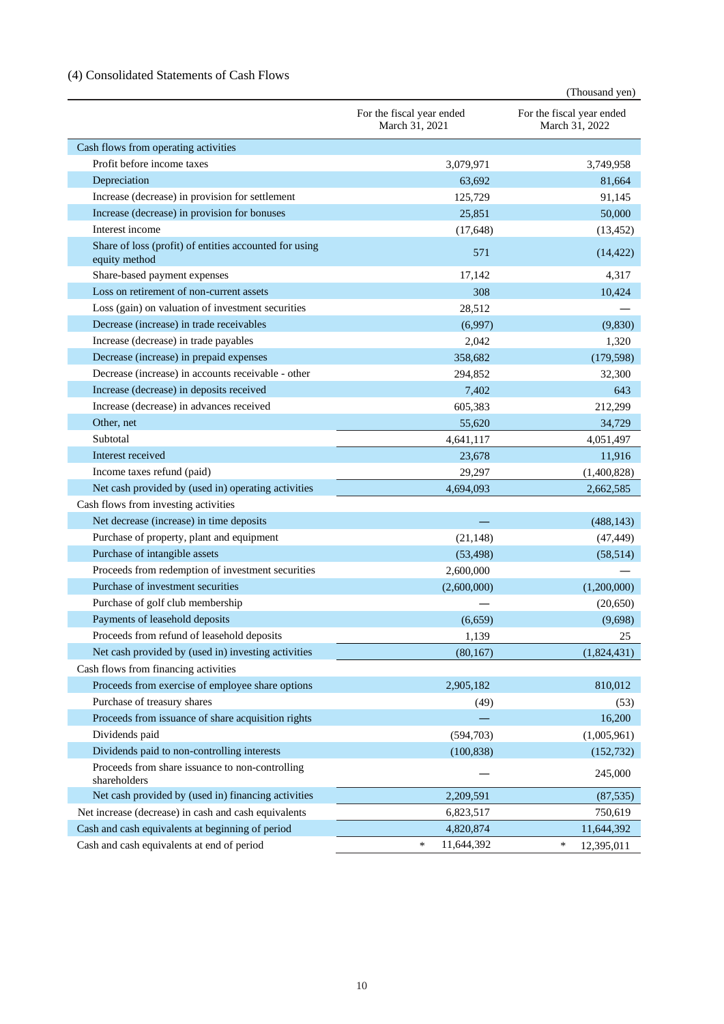## (4) Consolidated Statements of Cash Flows

|                                                                         |                                             | (Thousand yen)                              |
|-------------------------------------------------------------------------|---------------------------------------------|---------------------------------------------|
|                                                                         | For the fiscal year ended<br>March 31, 2021 | For the fiscal year ended<br>March 31, 2022 |
| Cash flows from operating activities                                    |                                             |                                             |
| Profit before income taxes                                              | 3,079,971                                   | 3,749,958                                   |
| Depreciation                                                            | 63,692                                      | 81,664                                      |
| Increase (decrease) in provision for settlement                         | 125,729                                     | 91,145                                      |
| Increase (decrease) in provision for bonuses                            | 25,851                                      | 50,000                                      |
| Interest income                                                         | (17,648)                                    | (13, 452)                                   |
| Share of loss (profit) of entities accounted for using<br>equity method | 571                                         | (14, 422)                                   |
| Share-based payment expenses                                            | 17,142                                      | 4,317                                       |
| Loss on retirement of non-current assets                                | 308                                         | 10,424                                      |
| Loss (gain) on valuation of investment securities                       | 28,512                                      |                                             |
| Decrease (increase) in trade receivables                                | (6,997)                                     | (9, 830)                                    |
| Increase (decrease) in trade payables                                   | 2,042                                       | 1,320                                       |
| Decrease (increase) in prepaid expenses                                 | 358,682                                     | (179, 598)                                  |
| Decrease (increase) in accounts receivable - other                      | 294,852                                     | 32,300                                      |
| Increase (decrease) in deposits received                                | 7,402                                       | 643                                         |
| Increase (decrease) in advances received                                | 605,383                                     | 212,299                                     |
| Other, net                                                              | 55,620                                      | 34,729                                      |
| Subtotal                                                                | 4,641,117                                   | 4,051,497                                   |
| Interest received                                                       | 23,678                                      | 11,916                                      |
| Income taxes refund (paid)                                              | 29,297                                      | (1,400,828)                                 |
| Net cash provided by (used in) operating activities                     | 4,694,093                                   | 2,662,585                                   |
| Cash flows from investing activities                                    |                                             |                                             |
| Net decrease (increase) in time deposits                                |                                             | (488, 143)                                  |
| Purchase of property, plant and equipment                               | (21, 148)                                   | (47, 449)                                   |
| Purchase of intangible assets                                           | (53, 498)                                   | (58, 514)                                   |
| Proceeds from redemption of investment securities                       | 2,600,000                                   |                                             |
| Purchase of investment securities                                       | (2,600,000)                                 | (1,200,000)                                 |
| Purchase of golf club membership                                        |                                             | (20, 650)                                   |
| Payments of leasehold deposits                                          | (6,659)                                     | (9,698)                                     |
| Proceeds from refund of leasehold deposits                              | 1,139                                       | 25                                          |
| Net cash provided by (used in) investing activities                     | (80,167)                                    | (1,824,431)                                 |
| Cash flows from financing activities                                    |                                             |                                             |
| Proceeds from exercise of employee share options                        | 2,905,182                                   | 810,012                                     |
| Purchase of treasury shares                                             | (49)                                        | (53)                                        |
| Proceeds from issuance of share acquisition rights                      |                                             | 16,200                                      |
| Dividends paid                                                          | (594, 703)                                  | (1,005,961)                                 |
| Dividends paid to non-controlling interests                             | (100, 838)                                  | (152, 732)                                  |
| Proceeds from share issuance to non-controlling<br>shareholders         |                                             | 245,000                                     |
| Net cash provided by (used in) financing activities                     | 2,209,591                                   | (87, 535)                                   |
| Net increase (decrease) in cash and cash equivalents                    | 6,823,517                                   | 750,619                                     |
| Cash and cash equivalents at beginning of period                        | 4,820,874                                   | 11,644,392                                  |
| Cash and cash equivalents at end of period                              | $\ast$<br>11,644,392                        | $\ast$<br>12,395,011                        |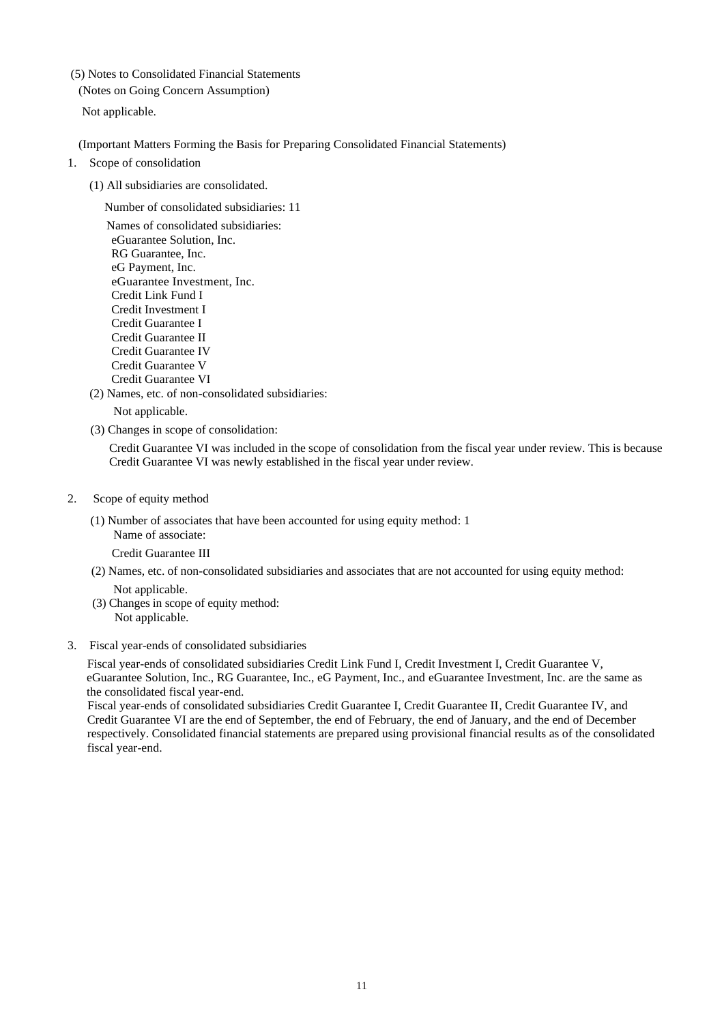(5) Notes to Consolidated Financial Statements

(Notes on Going Concern Assumption)

Not applicable.

(Important Matters Forming the Basis for Preparing Consolidated Financial Statements)

- 1. Scope of consolidation
	- (1) All subsidiaries are consolidated.

Number of consolidated subsidiaries: 11

Names of consolidated subsidiaries: eGuarantee Solution, Inc. RG Guarantee, Inc. eG Payment, Inc. eGuarantee Investment, Inc. Credit Link Fund I Credit Investment I Credit Guarantee I Credit Guarantee II Credit Guarantee IV Credit Guarantee V Credit Guarantee VI

(2) Names, etc. of non-consolidated subsidiaries:

Not applicable.

(3) Changes in scope of consolidation:

Credit Guarantee VI was included in the scope of consolidation from the fiscal year under review. This is because Credit Guarantee VI was newly established in the fiscal year under review.

#### 2. Scope of equity method

(1) Number of associates that have been accounted for using equity method: 1 Name of associate:

Credit Guarantee III

- (2) Names, etc. of non-consolidated subsidiaries and associates that are not accounted for using equity method: Not applicable.
- (3) Changes in scope of equity method: Not applicable.

#### 3. Fiscal year-ends of consolidated subsidiaries

Fiscal year-ends of consolidated subsidiaries Credit Link Fund I, Credit Investment I, Credit Guarantee V, eGuarantee Solution, Inc., RG Guarantee, Inc., eG Payment, Inc., and eGuarantee Investment, Inc. are the same as the consolidated fiscal year-end.

Fiscal year-ends of consolidated subsidiaries Credit Guarantee I, Credit Guarantee II, Credit Guarantee IV, and Credit Guarantee VI are the end of September, the end of February, the end of January, and the end of December respectively. Consolidated financial statements are prepared using provisional financial results as of the consolidated fiscal year-end.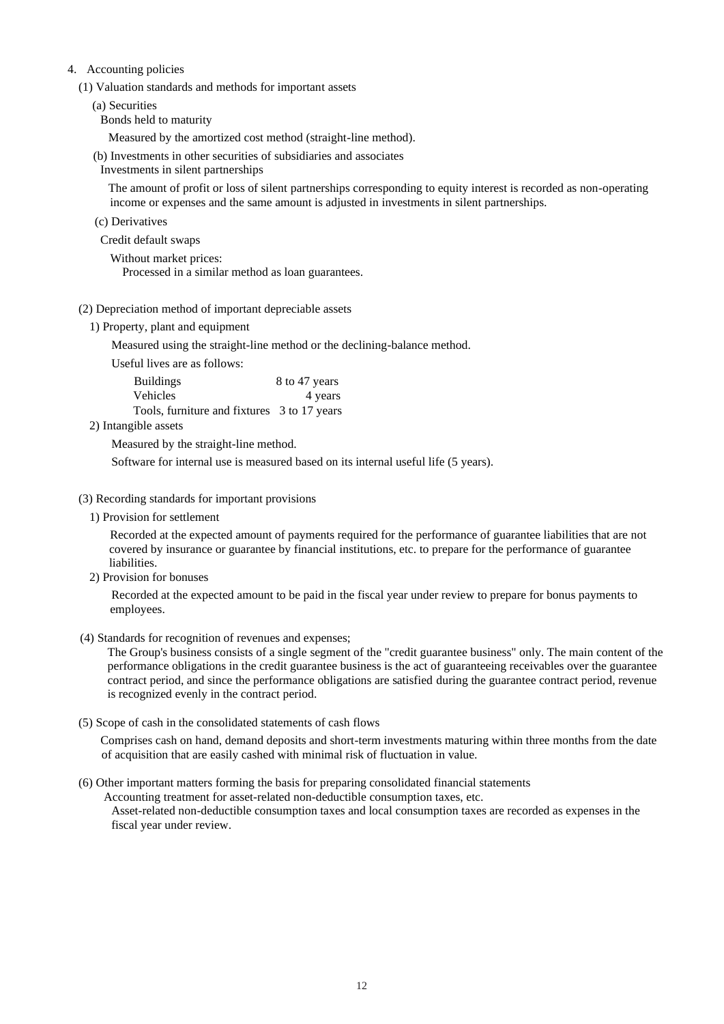#### 4. Accounting policies

(1) Valuation standards and methods for important assets

(a) Securities

Bonds held to maturity

Measured by the amortized cost method (straight-line method).

(b) Investments in other securities of subsidiaries and associates

Investments in silent partnerships

The amount of profit or loss of silent partnerships corresponding to equity interest is recorded as non-operating income or expenses and the same amount is adjusted in investments in silent partnerships.

- (c) Derivatives
- Credit default swaps
	- Without market prices: Processed in a similar method as loan guarantees.
- (2) Depreciation method of important depreciable assets
	- 1) Property, plant and equipment

Measured using the straight-line method or the declining-balance method.

Useful lives are as follows:

| <b>Buildings</b>                            | 8 to 47 years |
|---------------------------------------------|---------------|
| Vehicles                                    | 4 years       |
| Tools, furniture and fixtures 3 to 17 years |               |

2) Intangible assets

Measured by the straight-line method.

Software for internal use is measured based on its internal useful life (5 years).

#### (3) Recording standards for important provisions

1) Provision for settlement

Recorded at the expected amount of payments required for the performance of guarantee liabilities that are not covered by insurance or guarantee by financial institutions, etc. to prepare for the performance of guarantee liabilities.

2) Provision for bonuses

Recorded at the expected amount to be paid in the fiscal year under review to prepare for bonus payments to employees.

(4) Standards for recognition of revenues and expenses;

The Group's business consists of a single segment of the "credit guarantee business" only. The main content of the performance obligations in the credit guarantee business is the act of guaranteeing receivables over the guarantee contract period, and since the performance obligations are satisfied during the guarantee contract period, revenue is recognized evenly in the contract period.

(5) Scope of cash in the consolidated statements of cash flows

Comprises cash on hand, demand deposits and short-term investments maturing within three months from the date of acquisition that are easily cashed with minimal risk of fluctuation in value.

(6) Other important matters forming the basis for preparing consolidated financial statements

Accounting treatment for asset-related non-deductible consumption taxes, etc.

Asset-related non-deductible consumption taxes and local consumption taxes are recorded as expenses in the fiscal year under review.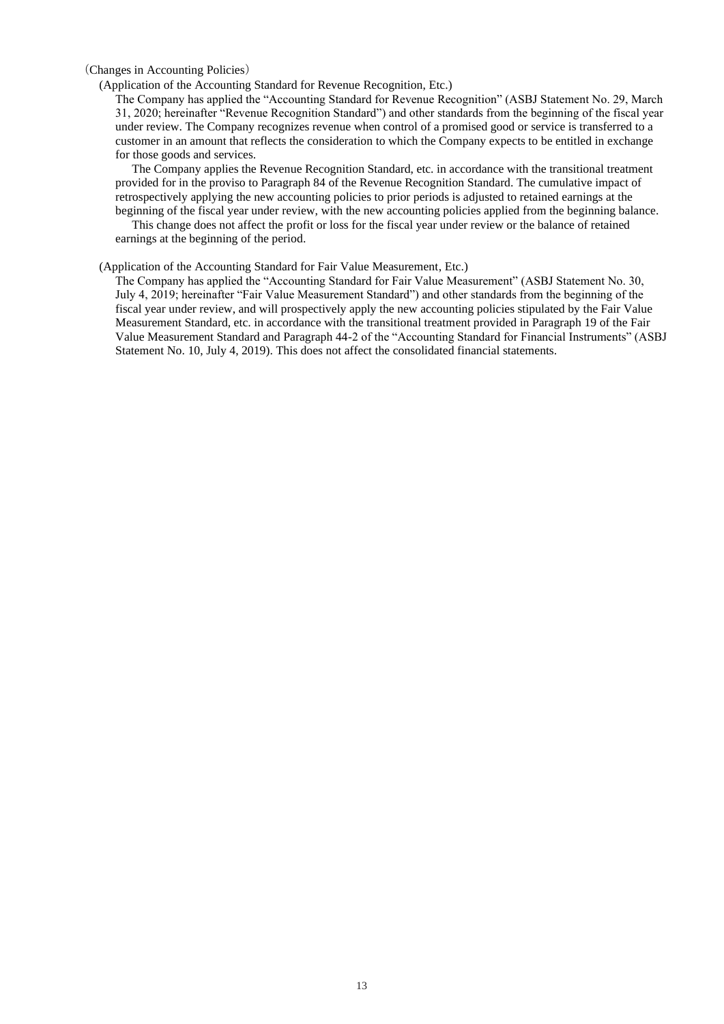#### (Changes in Accounting Policies)

#### (Application of the Accounting Standard for Revenue Recognition, Etc.)

The Company has applied the "Accounting Standard for Revenue Recognition" (ASBJ Statement No. 29, March 31, 2020; hereinafter "Revenue Recognition Standard") and other standards from the beginning of the fiscal year under review. The Company recognizes revenue when control of a promised good or service is transferred to a customer in an amount that reflects the consideration to which the Company expects to be entitled in exchange for those goods and services.

The Company applies the Revenue Recognition Standard, etc. in accordance with the transitional treatment provided for in the proviso to Paragraph 84 of the Revenue Recognition Standard. The cumulative impact of retrospectively applying the new accounting policies to prior periods is adjusted to retained earnings at the beginning of the fiscal year under review, with the new accounting policies applied from the beginning balance.

This change does not affect the profit or loss for the fiscal year under review or the balance of retained earnings at the beginning of the period.

#### (Application of the Accounting Standard for Fair Value Measurement, Etc.)

The Company has applied the "Accounting Standard for Fair Value Measurement" (ASBJ Statement No. 30, July 4, 2019; hereinafter "Fair Value Measurement Standard") and other standards from the beginning of the fiscal year under review, and will prospectively apply the new accounting policies stipulated by the Fair Value Measurement Standard, etc. in accordance with the transitional treatment provided in Paragraph 19 of the Fair Value Measurement Standard and Paragraph 44-2 of the "Accounting Standard for Financial Instruments" (ASBJ Statement No. 10, July 4, 2019). This does not affect the consolidated financial statements.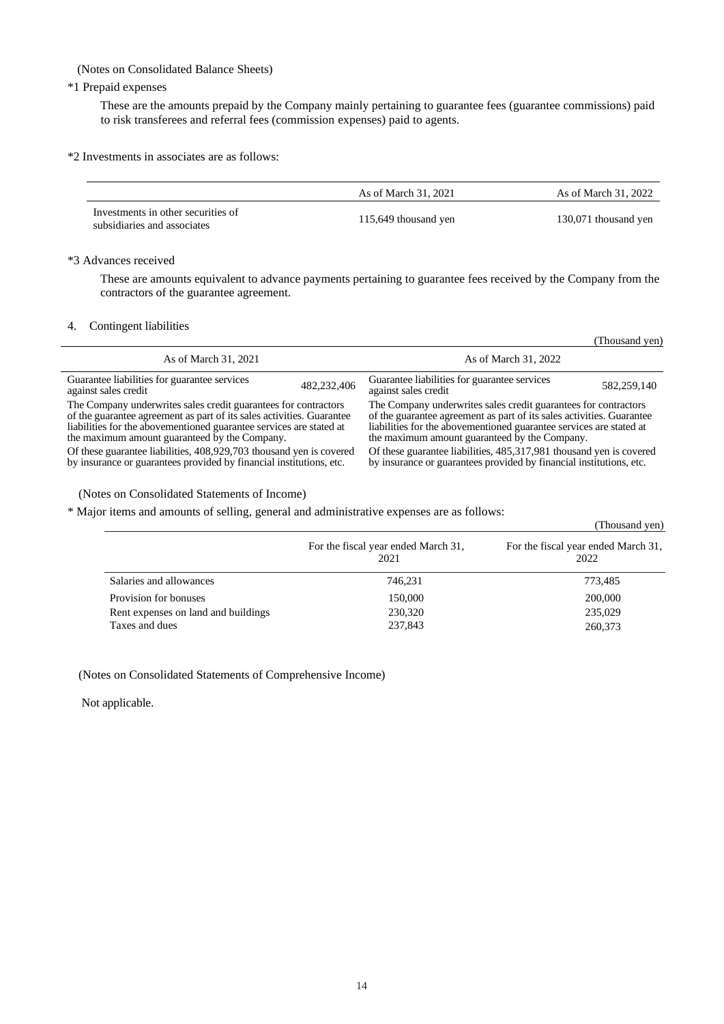(Notes on Consolidated Balance Sheets)

## \*1 Prepaid expenses

These are the amounts prepaid by the Company mainly pertaining to guarantee fees (guarantee commissions) paid to risk transferees and referral fees (commission expenses) paid to agents.

\*2 Investments in associates are as follows:

|                                                                   | As of March 31, 2021 | As of March 31, 2022 |
|-------------------------------------------------------------------|----------------------|----------------------|
| Investments in other securities of<br>subsidiaries and associates | 115,649 thousand yen | 130,071 thousand yen |

#### \*3 Advances received

These are amounts equivalent to advance payments pertaining to guarantee fees received by the Company from the contractors of the guarantee agreement.

#### 4. Contingent liabilities

l.

|                                                                       | Thousand ven)                                                         |
|-----------------------------------------------------------------------|-----------------------------------------------------------------------|
| As of March 31, 2021                                                  | As of March 31, 2022                                                  |
| Guarantee liabilities for guarantee services                          | Guarantee liabilities for guarantee services                          |
| 482,232,406                                                           | 582,259,140                                                           |
| against sales credit                                                  | against sales credit                                                  |
| The Company underwrites sales credit guarantees for contractors       | The Company underwrites sales credit guarantees for contractors       |
| of the guarantee agreement as part of its sales activities. Guarantee | of the guarantee agreement as part of its sales activities. Guarantee |
| liabilities for the abovementioned guarantee services are stated at   | liabilities for the abovementioned guarantee services are stated at   |
| the maximum amount guaranteed by the Company.                         | the maximum amount guaranteed by the Company.                         |
| Of these guarantee liabilities, 408,929,703 thousand yen is covered   | Of these guarantee liabilities, 485,317,981 thousand yen is covered   |
| by insurance or guarantees provided by financial institutions, etc.   | by insurance or guarantees provided by financial institutions, etc.   |

(Notes on Consolidated Statements of Income)

\* Major items and amounts of selling, general and administrative expenses are as follows:

| ت ب                                 |                                             | (Thousand yen)                              |
|-------------------------------------|---------------------------------------------|---------------------------------------------|
|                                     | For the fiscal year ended March 31,<br>2021 | For the fiscal year ended March 31,<br>2022 |
| Salaries and allowances             | 746,231                                     | 773,485                                     |
| Provision for bonuses               | 150,000                                     | 200,000                                     |
| Rent expenses on land and buildings | 230,320                                     | 235,029                                     |
| Taxes and dues                      | 237,843                                     | 260,373                                     |

(Notes on Consolidated Statements of Comprehensive Income)

Not applicable.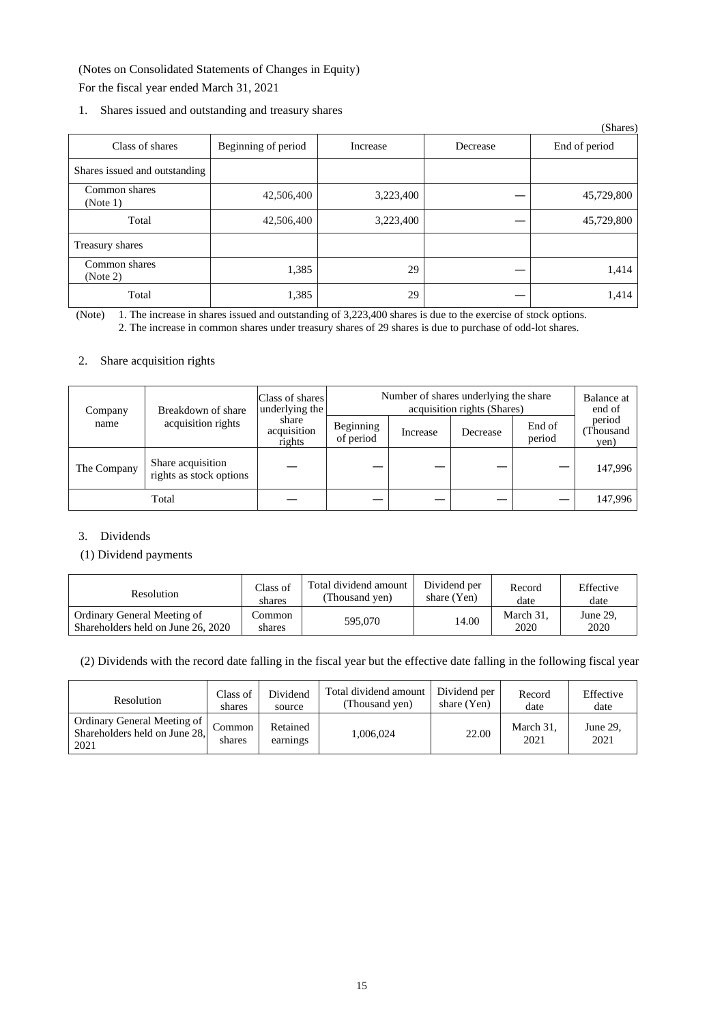(Notes on Consolidated Statements of Changes in Equity) For the fiscal year ended March 31, 2021

1. Shares issued and outstanding and treasury shares

|                               |                     |           |          | (Shares)      |
|-------------------------------|---------------------|-----------|----------|---------------|
| Class of shares               | Beginning of period | Increase  | Decrease | End of period |
| Shares issued and outstanding |                     |           |          |               |
| Common shares<br>(Note 1)     | 42,506,400          | 3,223,400 |          | 45,729,800    |
| Total                         | 42,506,400          | 3,223,400 |          | 45,729,800    |
| Treasury shares               |                     |           |          |               |
| Common shares<br>(Note 2)     | 1,385               | 29        |          | 1,414         |
| Total                         | 1,385               | 29        |          | 1,414         |

(Note) 1. The increase in shares issued and outstanding of 3,223,400 shares is due to the exercise of stock options. 2. The increase in common shares under treasury shares of 29 shares is due to purchase of odd-lot shares.

#### 2. Share acquisition rights

| Breakdown of share<br>Company |                                              | Class of shares<br>underlying the |          | Number of shares underlying the share | acquisition rights (Shares) |                            | Balance at<br>end of |
|-------------------------------|----------------------------------------------|-----------------------------------|----------|---------------------------------------|-----------------------------|----------------------------|----------------------|
| acquisition rights<br>name    | share<br>acquisition<br>rights               | Beginning<br>of period            | Increase | Decrease                              | End of<br>period            | period<br>Thousand<br>yen) |                      |
| The Company                   | Share acquisition<br>rights as stock options |                                   |          |                                       |                             |                            | 147.996              |
|                               | Total                                        |                                   |          |                                       |                             |                            | 147,996              |

## 3. Dividends

#### (1) Dividend payments

| <b>Resolution</b>                                                 | Class of         | Total dividend amount | Dividend per | Record            | Effective        |
|-------------------------------------------------------------------|------------------|-----------------------|--------------|-------------------|------------------|
|                                                                   | shares           | (Thousand yen)        | share (Yen)  | date              | date             |
| Ordinary General Meeting of<br>Shareholders held on June 26, 2020 | Common<br>shares | 595,070               | 14.00        | March 31.<br>2020 | June 29.<br>2020 |

(2) Dividends with the record date falling in the fiscal year but the effective date falling in the following fiscal year

| Resolution                                                           | Class of         | Dividend             | Total dividend amount | Dividend per | Record            | Effective        |
|----------------------------------------------------------------------|------------------|----------------------|-----------------------|--------------|-------------------|------------------|
|                                                                      | shares           | source               | (Thousand yen)        | share (Yen)  | date              | date             |
| Ordinary General Meeting of<br>Shareholders held on June 28,<br>2021 | Common<br>shares | Retained<br>earnings | 1.006.024             | 22.00        | March 31.<br>2021 | June 29.<br>2021 |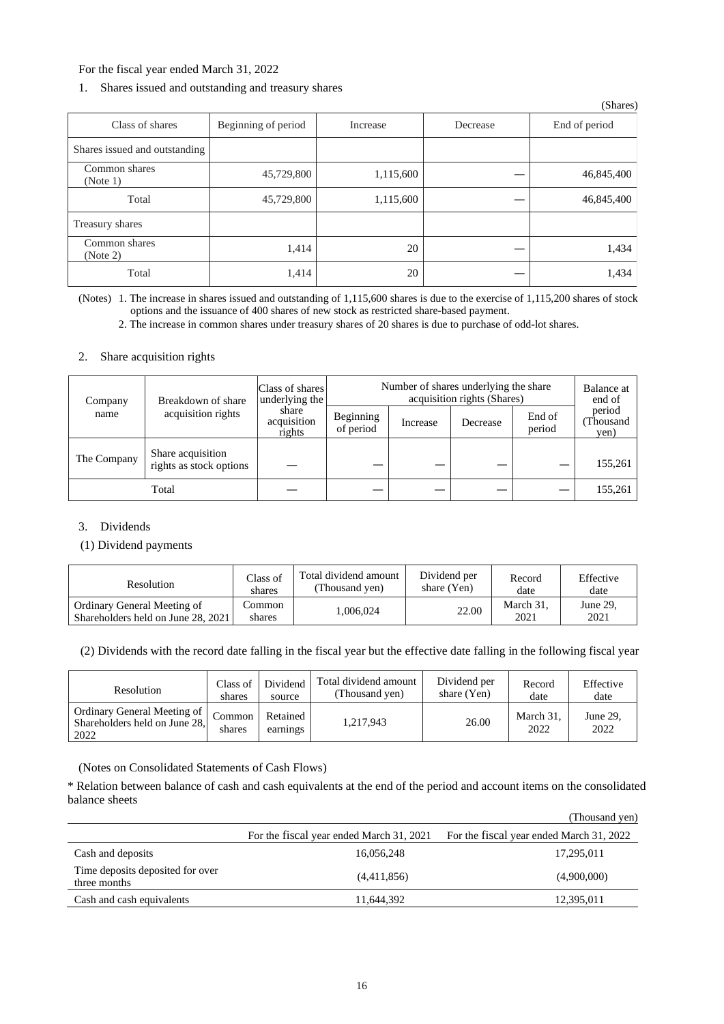#### For the fiscal year ended March 31, 2022

## 1. Shares issued and outstanding and treasury shares

|                               |                     |           |          | (Shares)      |
|-------------------------------|---------------------|-----------|----------|---------------|
| Class of shares               | Beginning of period | Increase  | Decrease | End of period |
| Shares issued and outstanding |                     |           |          |               |
| Common shares<br>(Note 1)     | 45,729,800          | 1,115,600 |          | 46,845,400    |
| Total                         | 45,729,800          | 1,115,600 |          | 46,845,400    |
| Treasury shares               |                     |           |          |               |
| Common shares<br>(Note 2)     | 1,414               | 20        |          | 1,434         |
| Total                         | 1,414               | 20        |          | 1,434         |

(Notes) 1. The increase in shares issued and outstanding of 1,115,600 shares is due to the exercise of 1,115,200 shares of stock options and the issuance of 400 shares of new stock as restricted share-based payment.

2. The increase in common shares under treasury shares of 20 shares is due to purchase of odd-lot shares.

#### 2. Share acquisition rights

| Breakdown of share<br>Company |                                              | Class of shares<br>underlying the | Number of shares underlying the share<br>acquisition rights (Shares) |          |                  |                            | Balance at<br>end of |
|-------------------------------|----------------------------------------------|-----------------------------------|----------------------------------------------------------------------|----------|------------------|----------------------------|----------------------|
| acquisition rights<br>name    | share<br>acquisition<br>rights               | Beginning<br>of period            | Increase                                                             | Decrease | End of<br>period | period<br>Thousand<br>yen) |                      |
| The Company                   | Share acquisition<br>rights as stock options |                                   |                                                                      |          |                  |                            | 155,261              |
|                               | Total                                        |                                   |                                                                      |          |                  |                            | 155,261              |

## 3. Dividends

#### (1) Dividend payments

| Resolution                                                        | Class of         | Total dividend amount | Dividend per | Record            | Effective        |
|-------------------------------------------------------------------|------------------|-----------------------|--------------|-------------------|------------------|
|                                                                   | shares           | (Thousand yen)        | share (Yen)  | date              | date             |
| Ordinary General Meeting of<br>Shareholders held on June 28, 2021 | Common<br>shares | .006.024              | 22.00        | March 31,<br>2021 | June 29.<br>2021 |

(2) Dividends with the record date falling in the fiscal year but the effective date falling in the following fiscal year

| Resolution                                                             | Class of         | Dividend             | Total dividend amount | Dividend per | Record            | Effective        |
|------------------------------------------------------------------------|------------------|----------------------|-----------------------|--------------|-------------------|------------------|
|                                                                        | shares           | source               | (Thousand yen)        | share (Yen)  | date              | date             |
| Ordinary General Meeting of  <br>Shareholders held on June 28,<br>2022 | Common<br>shares | Retained<br>earnings | 1,217,943             | 26.00        | March 31.<br>2022 | June 29.<br>2022 |

(Notes on Consolidated Statements of Cash Flows)

\* Relation between balance of cash and cash equivalents at the end of the period and account items on the consolidated balance sheets

|                                                  |                                          | (Thousand yen)                           |
|--------------------------------------------------|------------------------------------------|------------------------------------------|
|                                                  | For the fiscal year ended March 31, 2021 | For the fiscal year ended March 31, 2022 |
| Cash and deposits                                | 16,056,248                               | 17,295,011                               |
| Time deposits deposited for over<br>three months | (4,411,856)                              | (4,900,000)                              |
| Cash and cash equivalents                        | 11,644,392                               | 12,395,011                               |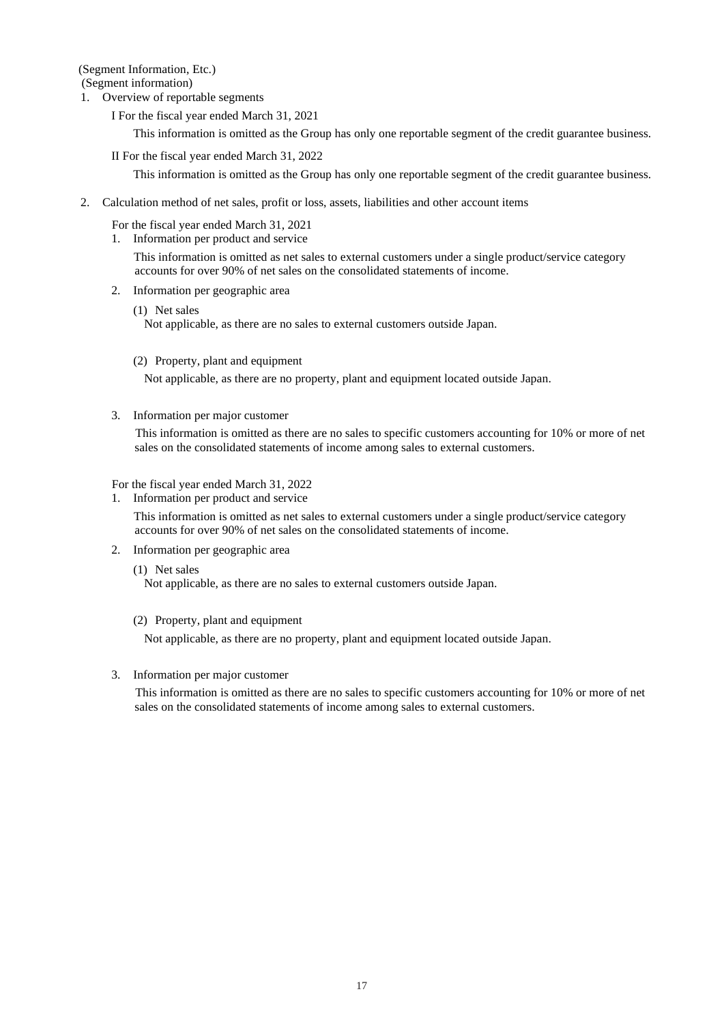(Segment Information, Etc.)

(Segment information)

1. Overview of reportable segments

I For the fiscal year ended March 31, 2021

This information is omitted as the Group has only one reportable segment of the credit guarantee business.

II For the fiscal year ended March 31, 2022

This information is omitted as the Group has only one reportable segment of the credit guarantee business.

2. Calculation method of net sales, profit or loss, assets, liabilities and other account items

For the fiscal year ended March 31, 2021

1. Information per product and service

This information is omitted as net sales to external customers under a single product/service category accounts for over 90% of net sales on the consolidated statements of income.

- 2. Information per geographic area
	- (1) Net sales Not applicable, as there are no sales to external customers outside Japan.
	- (2) Property, plant and equipment

Not applicable, as there are no property, plant and equipment located outside Japan.

3. Information per major customer

This information is omitted as there are no sales to specific customers accounting for 10% or more of net sales on the consolidated statements of income among sales to external customers.

For the fiscal year ended March 31, 2022

1. Information per product and service

This information is omitted as net sales to external customers under a single product/service category accounts for over 90% of net sales on the consolidated statements of income.

- 2. Information per geographic area
	- (1) Net sales

Not applicable, as there are no sales to external customers outside Japan.

(2) Property, plant and equipment

Not applicable, as there are no property, plant and equipment located outside Japan.

3. Information per major customer

This information is omitted as there are no sales to specific customers accounting for 10% or more of net sales on the consolidated statements of income among sales to external customers.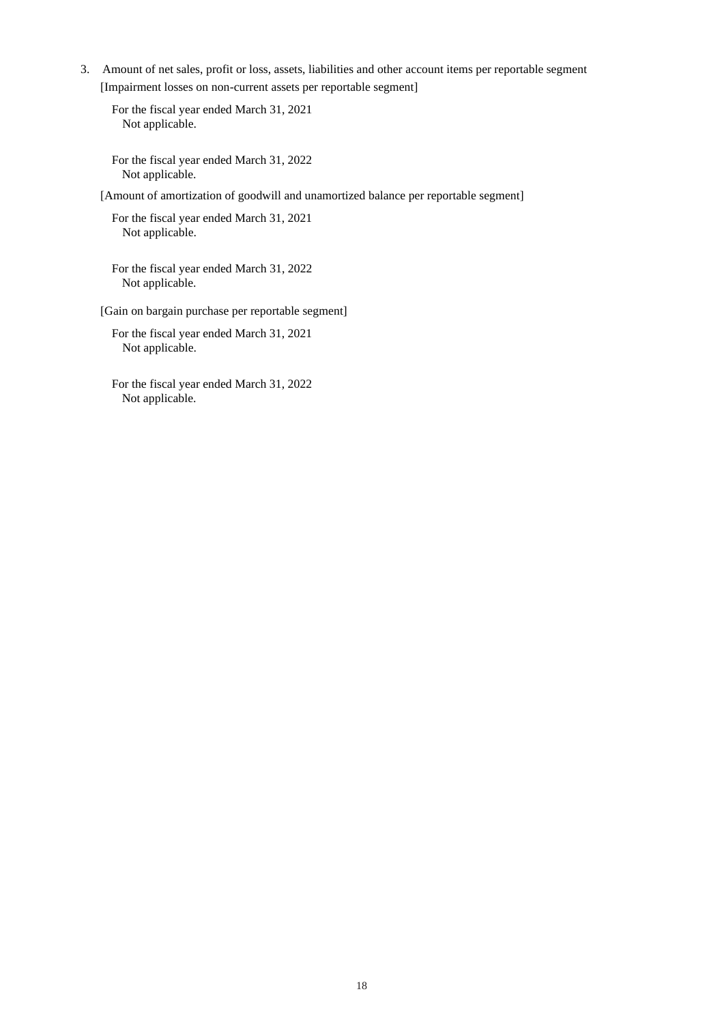3. Amount of net sales, profit or loss, assets, liabilities and other account items per reportable segment [Impairment losses on non-current assets per reportable segment]

For the fiscal year ended March 31, 2021 Not applicable.

For the fiscal year ended March 31, 2022 Not applicable.

[Amount of amortization of goodwill and unamortized balance per reportable segment]

For the fiscal year ended March 31, 2021 Not applicable.

For the fiscal year ended March 31, 2022 Not applicable.

[Gain on bargain purchase per reportable segment]

For the fiscal year ended March 31, 2021 Not applicable.

For the fiscal year ended March 31, 2022 Not applicable.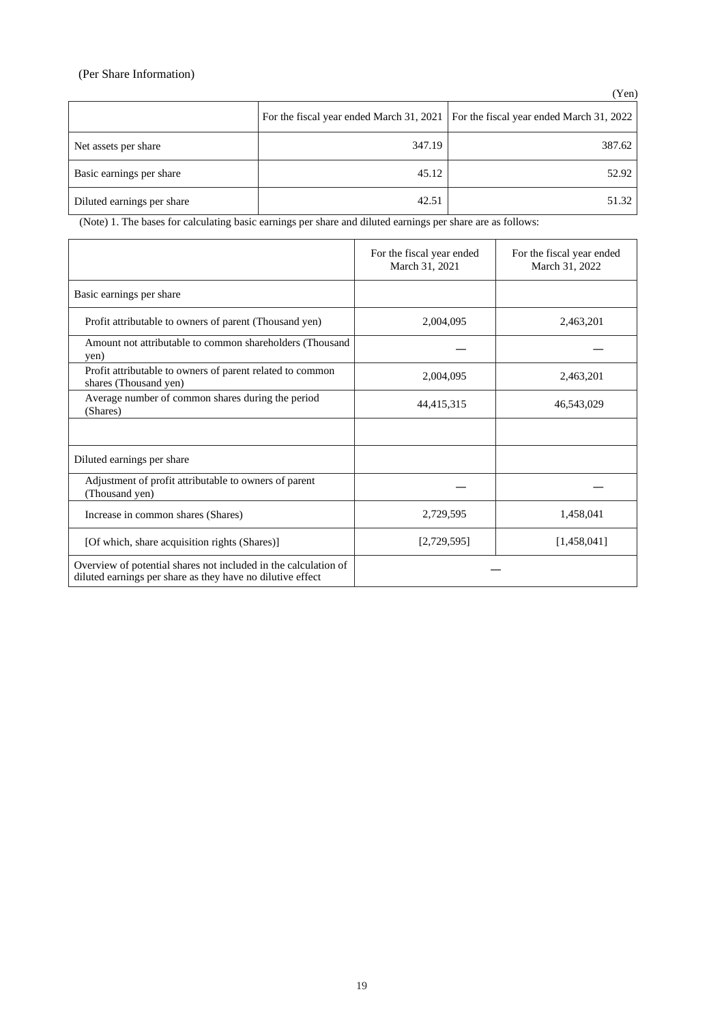## (Per Share Information)

|                            |        | For the fiscal year ended March 31, 2021   For the fiscal year ended March 31, 2022 |
|----------------------------|--------|-------------------------------------------------------------------------------------|
| Net assets per share       | 347.19 | 387.62                                                                              |
| Basic earnings per share   | 45.12  | 52.92                                                                               |
| Diluted earnings per share | 42.51  | 51.32                                                                               |

(Note) 1. The bases for calculating basic earnings per share and diluted earnings per share are as follows:

|                                                                                                                               | For the fiscal year ended<br>March 31, 2021 | For the fiscal year ended<br>March 31, 2022 |
|-------------------------------------------------------------------------------------------------------------------------------|---------------------------------------------|---------------------------------------------|
| Basic earnings per share                                                                                                      |                                             |                                             |
| Profit attributable to owners of parent (Thousand yen)                                                                        | 2,004,095                                   | 2,463,201                                   |
| Amount not attributable to common shareholders (Thousand<br>yen)                                                              |                                             |                                             |
| Profit attributable to owners of parent related to common<br>shares (Thousand yen)                                            | 2,004,095                                   | 2,463,201                                   |
| Average number of common shares during the period<br>(Shares)                                                                 | 44,415,315                                  | 46,543,029                                  |
|                                                                                                                               |                                             |                                             |
| Diluted earnings per share                                                                                                    |                                             |                                             |
| Adjustment of profit attributable to owners of parent<br>(Thousand yen)                                                       |                                             |                                             |
| Increase in common shares (Shares)                                                                                            | 2,729,595                                   | 1,458,041                                   |
| [Of which, share acquisition rights (Shares)]                                                                                 | [2,729,595]                                 | [1,458,041]                                 |
| Overview of potential shares not included in the calculation of<br>diluted earnings per share as they have no dilutive effect |                                             |                                             |

(Yen)